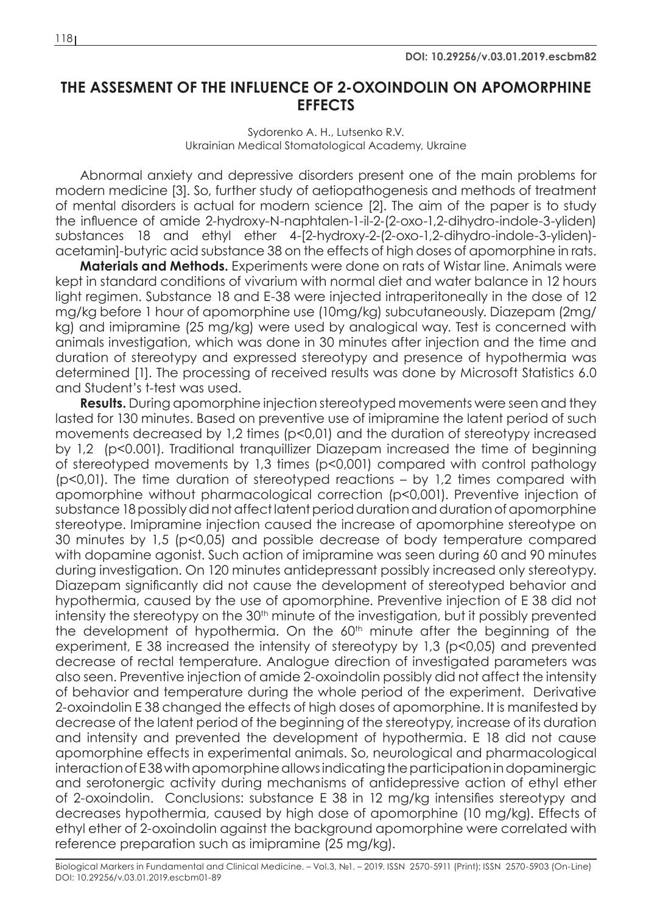## **THE ASSESMENT OF THE INFLUENCE OF 2-OXOINDOLIN ON APOMORPHINE EFFECTS**

## Sydorenko A. H., Lutsenko R.V. Ukrainian Medical Stomatological Academy, Ukraine

Abnormal anxiety and depressive disorders present one of the main problems for modern medicine [3]. So, further study of aetiopathogenesis and methods of treatment of mental disorders is actual for modern science [2]. The aim of the paper is to study the influence of amide 2-hydroxy-N-naphtalen-1-il-2-(2-oxo-1,2-dihydro-indole-3-yliden) substances 18 and ethyl ether 4-[2-hydroxy-2-(2-oxo-1,2-dihydro-indole-3-yliden) acetamin]-butyric acid substance 38 on the effects of high doses of apomorphine in rats.

**Materials and Methods.** Experiments were done on rats of Wistar line. Animals were kept in standard conditions of vivarium with normal diet and water balance in 12 hours light regimen. Substance 18 and E-38 were injected intraperitoneally in the dose of 12 mg/kg before 1 hour of apomorphine use (10mg/kg) subcutaneously. Diazepam (2mg/ kg) and imipramine (25 mg/kg) were used by analogical way. Test is concerned with animals investigation, which was done in 30 minutes after injection and the time and duration of stereotypy and expressed stereotypy and presence of hypothermia was determined [1]. The processing of received results was done by Microsoft Statistics 6.0 and Student's t-test was used.

**Results.** During apomorphine injection stereotyped movements were seen and they lasted for 130 minutes. Based on preventive use of imipramine the latent period of such movements decreased by 1,2 times (p<0,01) and the duration of stereotypy increased by 1,2 (p<0.001). Traditional tranquillizer Diazepam increased the time of beginning of stereotyped movements by 1,3 times (p<0,001) compared with control pathology (p<0,01). The time duration of stereotyped reactions – by 1,2 times compared with apomorphine without pharmacological correction (p<0,001). Preventive injection of substance 18 possibly did not affect latent period duration and duration of apomorphine stereotype. Imipramine injection caused the increase of apomorphine stereotype on 30 minutes by 1,5 (p<0,05) and possible decrease of body temperature compared with dopamine agonist. Such action of imipramine was seen during 60 and 90 minutes during investigation. On 120 minutes antidepressant possibly increased only stereotypy. Diazepam significantly did not cause the development of stereotyped behavior and hypothermia, caused by the use of apomorphine. Preventive injection of E 38 did not intensity the stereotypy on the 30<sup>th</sup> minute of the investigation, but it possibly prevented the development of hypothermia. On the  $60<sup>th</sup>$  minute after the beginning of the experiment, E 38 increased the intensity of stereotypy by 1,3 (p<0,05) and prevented decrease of rectal temperature. Analogue direction of investigated parameters was also seen. Preventive injection of amide 2-oxoindolin possibly did not affect the intensity of behavior and temperature during the whole period of the experiment. Derivative 2-oxoindolin E 38 changed the effects of high doses of apomorphine. It is manifested by decrease of the latent period of the beginning of the stereotypy, increase of its duration and intensity and prevented the development of hypothermia. E 18 did not cause apomorphine effects in experimental animals. So, neurological and pharmacological interaction of E 38 with apomorphine allows indicating the participation in dopaminergic and serotonergic activity during mechanisms of antidepressive action of ethyl ether of 2-oxoindolin. Conclusions: substance E 38 in 12 mg/kg intensifies stereotypy and decreases hypothermia, caused by high dose of apomorphine (10 mg/kg). Effects of ethyl ether of 2-oxoindolin against the background apomorphine were correlated with reference preparation such as imipramine (25 mg/kg).